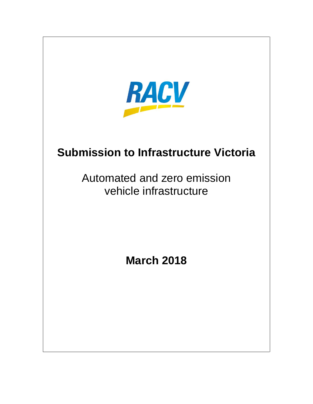

# **Submission to Infrastructure Victoria**

Automated and zero emission vehicle infrastructure

**March 2018**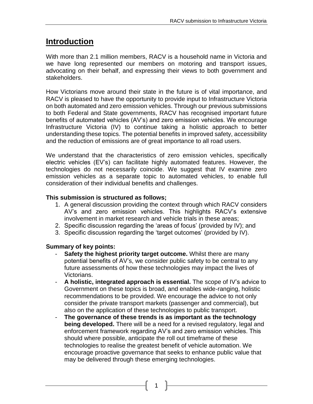# **Introduction**

With more than 2.1 million members, RACV is a household name in Victoria and we have long represented our members on motoring and transport issues, advocating on their behalf, and expressing their views to both government and stakeholders.

How Victorians move around their state in the future is of vital importance, and RACV is pleased to have the opportunity to provide input to Infrastructure Victoria on both automated and zero emission vehicles. Through our previous submissions to both Federal and State governments, RACV has recognised important future benefits of automated vehicles (AV's) and zero emission vehicles. We encourage Infrastructure Victoria (IV) to continue taking a holistic approach to better understanding these topics. The potential benefits in improved safety, accessibility and the reduction of emissions are of great importance to all road users.

We understand that the characteristics of zero emission vehicles, specifically electric vehicles (EV's) can facilitate highly automated features. However, the technologies do not necessarily coincide. We suggest that IV examine zero emission vehicles as a separate topic to automated vehicles, to enable full consideration of their individual benefits and challenges.

#### **This submission is structured as follows;**

- 1. A general discussion providing the context through which RACV considers AV's and zero emission vehicles. This highlights RACV's extensive involvement in market research and vehicle trials in these areas;
- 2. Specific discussion regarding the 'areas of focus' (provided by IV); and
- 3. Specific discussion regarding the 'target outcomes' (provided by IV).

#### **Summary of key points:**

- Safety the highest priority target outcome. Whilst there are many potential benefits of AV's, we consider public safety to be central to any future assessments of how these technologies may impact the lives of Victorians.
- **A holistic, integrated approach is essential.** The scope of IV's advice to Government on these topics is broad, and enables wide-ranging, holistic recommendations to be provided. We encourage the advice to not only consider the private transport markets (passenger and commercial), but also on the application of these technologies to public transport.
- **The governance of these trends is as important as the technology being developed.** There will be a need for a revised regulatory, legal and enforcement framework regarding AV's and zero emission vehicles. This should where possible, anticipate the roll out timeframe of these technologies to realise the greatest benefit of vehicle automation. We encourage proactive governance that seeks to enhance public value that may be delivered through these emerging technologies.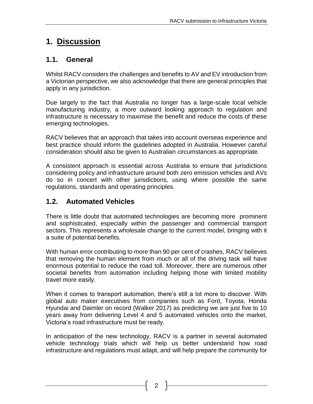# **1. Discussion**

### **1.1. General**

Whilst RACV considers the challenges and benefits to AV and EV introduction from a Victorian perspective, we also acknowledge that there are general principles that apply in any jurisdiction.

Due largely to the fact that Australia no longer has a large-scale local vehicle manufacturing industry, a more outward looking approach to regulation and infrastructure is necessary to maximise the benefit and reduce the costs of these emerging technologies.

RACV believes that an approach that takes into account overseas experience and best practice should inform the guidelines adopted in Australia. However careful consideration should also be given to Australian circumstances as appropriate.

A consistent approach is essential across Australia to ensure that jurisdictions considering policy and infrastructure around both zero emission vehicles and AVs do so in concert with other jurisdictions, using where possible the same regulations, standards and operating principles.

### **1.2. Automated Vehicles**

There is little doubt that automated technologies are becoming more prominent and sophisticated, especially within the passenger and commercial transport sectors. This represents a wholesale change to the current model, bringing with it a suite of potential benefits.

With human error contributing to more than 90 per cent of crashes, RACV believes that removing the human element from much or all of the driving task will have enormous potential to reduce the road toll. Moreover, there are numerous other societal benefits from automation including helping those with limited mobility travel more easily.

When it comes to transport automation, there's still a lot more to discover. With global auto maker executives from companies such as Ford, Toyota, Honda Hyundai and Daimler on record (Walker 2017) as predicting we are just five to 10 years away from delivering Level 4 and 5 automated vehicles onto the market, Victoria's road infrastructure must be ready.

In anticipation of the new technology, RACV is a partner in several automated vehicle technology trials which will help us better understand how road infrastructure and regulations must adapt, and will help prepare the community for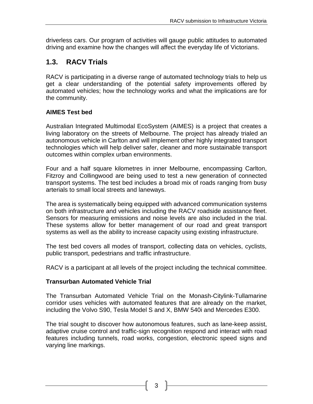driverless cars. Our program of activities will gauge public attitudes to automated driving and examine how the changes will affect the everyday life of Victorians.

### **1.3. RACV Trials**

RACV is participating in a diverse range of automated technology trials to help us get a clear understanding of the potential safety improvements offered by automated vehicles; how the technology works and what the implications are for the community.

#### **AIMES Test bed**

Australian Integrated Multimodal EcoSystem (AIMES) is a project that creates a living laboratory on the streets of Melbourne. The project has already trialed an autonomous vehicle in Carlton and will implement other highly integrated transport technologies which will help deliver safer, cleaner and more sustainable transport outcomes within complex urban environments.

Four and a half square kilometres in inner Melbourne, encompassing Carlton, Fitzroy and Collingwood are being used to test a new generation of connected transport systems. The test bed includes a broad mix of roads ranging from busy arterials to small local streets and laneways.

The area is systematically being equipped with advanced communication systems on both infrastructure and vehicles including the RACV roadside assistance fleet. Sensors for measuring emissions and noise levels are also included in the trial. These systems allow for better management of our road and great transport systems as well as the ability to increase capacity using existing infrastructure.

The test bed covers all modes of transport, collecting data on vehicles, cyclists, public transport, pedestrians and traffic infrastructure.

RACV is a participant at all levels of the project including the technical committee.

#### **Transurban Automated Vehicle Trial**

The Transurban Automated Vehicle Trial on the Monash-Citylink-Tullamarine corridor uses vehicles with automated features that are already on the market, including the Volvo S90, Tesla Model S and X, BMW 540i and Mercedes E300.

The trial sought to discover how autonomous features, such as lane-keep assist, adaptive cruise control and traffic-sign recognition respond and interact with road features including tunnels, road works, congestion, electronic speed signs and varying line markings.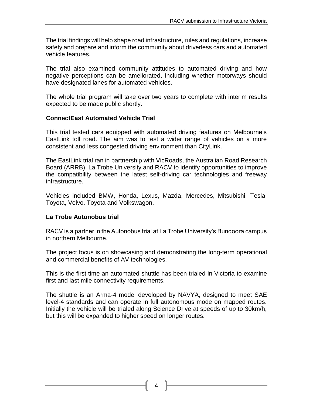The trial findings will help shape road infrastructure, rules and regulations, increase safety and prepare and inform the community about driverless cars and automated vehicle features.

The trial also examined community attitudes to automated driving and how negative perceptions can be ameliorated, including whether motorways should have designated lanes for automated vehicles.

The whole trial program will take over two years to complete with interim results expected to be made public shortly.

#### **ConnectEast Automated Vehicle Trial**

This trial tested cars equipped with automated driving features on Melbourne's EastLink toll road. The aim was to test a wider range of vehicles on a more consistent and less congested driving environment than CityLink.

The EastLink trial ran in partnership with VicRoads, the Australian Road Research Board (ARRB), La Trobe University and RACV to identify opportunities to improve the compatibility between the latest self-driving car technologies and freeway infrastructure.

Vehicles included BMW, Honda, Lexus, Mazda, Mercedes, Mitsubishi, Tesla, Toyota, Volvo. Toyota and Volkswagon.

#### **La Trobe Autonobus trial**

RACV is a partner in the Autonobus trial at La Trobe University's Bundoora campus in northern Melbourne.

The project focus is on showcasing and demonstrating the long-term operational and commercial benefits of AV technologies.

This is the first time an automated shuttle has been trialed in Victoria to examine first and last mile connectivity requirements.

The shuttle is an Arma-4 model developed by NAVYA, designed to meet SAE level-4 standards and can operate in full autonomous mode on mapped routes. Initially the vehicle will be trialed along Science Drive at speeds of up to 30km/h, but this will be expanded to higher speed on longer routes.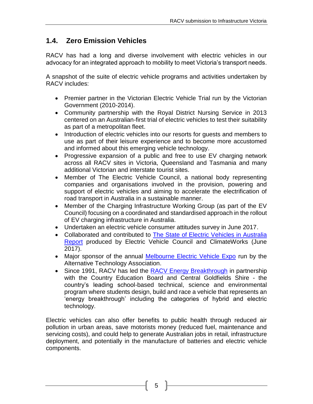### **1.4. Zero Emission Vehicles**

RACV has had a long and diverse involvement with electric vehicles in our advocacy for an integrated approach to mobility to meet Victoria's transport needs.

A snapshot of the suite of electric vehicle programs and activities undertaken by RACV includes:

- Premier partner in the Victorian Electric Vehicle Trial run by the Victorian Government (2010-2014).
- Community partnership with the Royal District Nursing Service in 2013 centered on an Australian-first trial of electric vehicles to test their suitability as part of a metropolitan fleet.
- Introduction of electric vehicles into our resorts for guests and members to use as part of their leisure experience and to become more accustomed and informed about this emerging vehicle technology.
- Progressive expansion of a public and free to use EV charging network across all RACV sites in Victoria, Queensland and Tasmania and many additional Victorian and interstate tourist sites.
- Member of The Electric Vehicle Council, a national body representing companies and organisations involved in the provision, powering and support of electric vehicles and aiming to accelerate the electrification of road transport in Australia in a sustainable manner.
- Member of the Charging Infrastructure Working Group (as part of the EV Council) focusing on a coordinated and standardised approach in the rollout of EV charging infrastructure in Australia.
- Undertaken an electric vehicle consumer attitudes survey in June 2017.
- Collaborated and contributed to [The State of Electric Vehicles in Australia](https://www.climateworksaustralia.org/sites/default/files/documents/publications/state_of_evs_final.pdf)  [Report](https://www.climateworksaustralia.org/sites/default/files/documents/publications/state_of_evs_final.pdf) produced by Electric Vehicle Council and ClimateWorks (June 2017).
- Major sponsor of the annual [Melbourne Electric Vehicle Expo](https://www.evexpo.org.au/) run by the Alternative Technology Association.
- Since 1991, RACV has led the [RACV Energy Breakthrough](https://www.racveb.com/) in partnership with the Country Education Board and Central Goldfields Shire - the country's leading school-based technical, science and environmental program where students design, build and race a vehicle that represents an 'energy breakthrough' including the categories of hybrid and electric technology.

Electric vehicles can also offer benefits to public health through reduced air pollution in urban areas, save motorists money (reduced fuel, maintenance and servicing costs), and could help to generate Australian jobs in retail, infrastructure deployment, and potentially in the manufacture of batteries and electric vehicle components.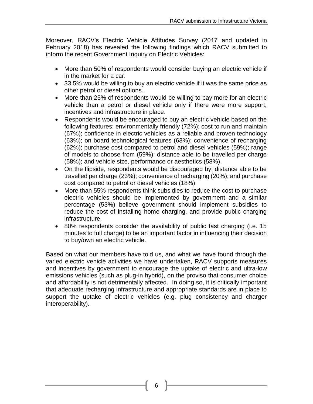Moreover, RACV's Electric Vehicle Attitudes Survey (2017 and updated in February 2018) has revealed the following findings which RACV submitted to inform the recent Government Inquiry on Electric Vehicles:

- More than 50% of respondents would consider buying an electric vehicle if in the market for a car.
- 33.5% would be willing to buy an electric vehicle if it was the same price as other petrol or diesel options.
- More than 25% of respondents would be willing to pay more for an electric vehicle than a petrol or diesel vehicle only if there were more support, incentives and infrastructure in place.
- Respondents would be encouraged to buy an electric vehicle based on the following features: environmentally friendly (72%); cost to run and maintain (67%); confidence in electric vehicles as a reliable and proven technology (63%); on board technological features (63%); convenience of recharging (62%); purchase cost compared to petrol and diesel vehicles (59%); range of models to choose from (59%); distance able to be travelled per charge (58%); and vehicle size, performance or aesthetics (58%).
- On the flipside, respondents would be discouraged by: distance able to be travelled per charge (23%); convenience of recharging (20%); and purchase cost compared to petrol or diesel vehicles (18%)
- More than 55% respondents think subsidies to reduce the cost to purchase electric vehicles should be implemented by government and a similar percentage (53%) believe government should implement subsidies to reduce the cost of installing home charging, and provide public charging infrastructure.
- 80% respondents consider the availability of public fast charging (i.e. 15 minutes to full charge) to be an important factor in influencing their decision to buy/own an electric vehicle.

Based on what our members have told us, and what we have found through the varied electric vehicle activities we have undertaken, RACV supports measures and incentives by government to encourage the uptake of electric and ultra-low emissions vehicles (such as plug-in hybrid), on the proviso that consumer choice and affordability is not detrimentally affected. In doing so, it is critically important that adequate recharging infrastructure and appropriate standards are in place to support the uptake of electric vehicles (e.g. plug consistency and charger interoperability).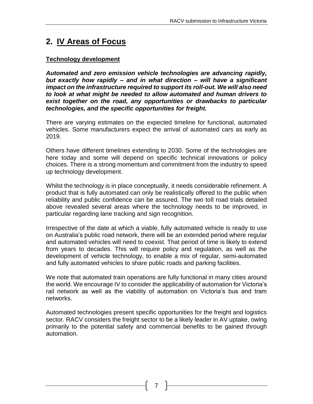# **2. IV Areas of Focus**

#### **Technology development**

*Automated and zero emission vehicle technologies are advancing rapidly, but exactly how rapidly – and in what direction – will have a significant impact on the infrastructure required to support its roll-out. We will also need to look at what might be needed to allow automated and human drivers to exist together on the road, any opportunities or drawbacks to particular technologies, and the specific opportunities for freight.*

There are varying estimates on the expected timeline for functional, automated vehicles. Some manufacturers expect the arrival of automated cars as early as 2019.

Others have different timelines extending to 2030. Some of the technologies are here today and some will depend on specific technical innovations or policy choices. There is a strong momentum and commitment from the industry to speed up technology development.

Whilst the technology is in place conceptually, it needs considerable refinement. A product that is fully automated can only be realistically offered to the public when reliability and public confidence can be assured. The two toll road trials detailed above revealed several areas where the technology needs to be improved, in particular regarding lane tracking and sign recognition.

Irrespective of the date at which a viable, fully automated vehicle is ready to use on Australia's public road network, there will be an extended period where regular and automated vehicles will need to coexist. That period of time is likely to extend from years to decades. This will require policy and regulation, as well as the development of vehicle technology, to enable a mix of regular, semi-automated and fully automated vehicles to share public roads and parking facilities.

We note that automated train operations are fully functional in many cities around the world. We encourage IV to consider the applicability of automation for Victoria's rail network as well as the viability of automation on Victoria's bus and tram networks.

Automated technologies present specific opportunities for the freight and logistics sector. RACV considers the freight sector to be a likely leader in AV uptake, owing primarily to the potential safety and commercial benefits to be gained through automation.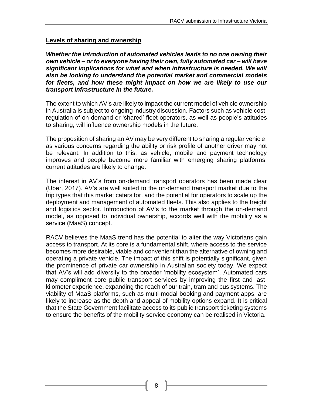#### **Levels of sharing and ownership**

*Whether the introduction of automated vehicles leads to no one owning their own vehicle – or to everyone having their own, fully automated car – will have significant implications for what and when infrastructure is needed. We will also be looking to understand the potential market and commercial models for fleets, and how these might impact on how we are likely to use our transport infrastructure in the future.*

The extent to which AV's are likely to impact the current model of vehicle ownership in Australia is subject to ongoing industry discussion. Factors such as vehicle cost, regulation of on-demand or 'shared' fleet operators, as well as people's attitudes to sharing, will influence ownership models in the future.

The proposition of sharing an AV may be very different to sharing a regular vehicle, as various concerns regarding the ability or risk profile of another driver may not be relevant. In addition to this, as vehicle, mobile and payment technology improves and people become more familiar with emerging sharing platforms, current attitudes are likely to change.

The interest in AV's from on-demand transport operators has been made clear (Uber, 2017). AV's are well suited to the on-demand transport market due to the trip types that this market caters for, and the potential for operators to scale up the deployment and management of automated fleets. This also applies to the freight and logistics sector. Introduction of AV's to the market through the on-demand model, as opposed to individual ownership, accords well with the mobility as a service (MaaS) concept.

RACV believes the MaaS trend has the potential to alter the way Victorians gain access to transport. At its core is a fundamental shift, where access to the service becomes more desirable, viable and convenient than the alternative of owning and operating a private vehicle. The impact of this shift is potentially significant, given the prominence of private car ownership in Australian society today. We expect that AV's will add diversity to the broader 'mobility ecosystem'. Automated cars may compliment core public transport services by improving the first and lastkilometer experience, expanding the reach of our train, tram and bus systems. The viability of MaaS platforms, such as multi-modal booking and payment apps, are likely to increase as the depth and appeal of mobility options expand. It is critical that the State Government facilitate access to its public transport ticketing systems to ensure the benefits of the mobility service economy can be realised in Victoria.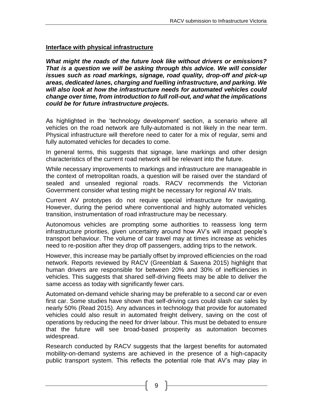#### **Interface with physical infrastructure**

*What might the roads of the future look like without drivers or emissions? That is a question we will be asking through this advice. We will consider issues such as road markings, signage, road quality, drop-off and pick-up areas, dedicated lanes, charging and fuelling infrastructure, and parking. We will also look at how the infrastructure needs for automated vehicles could change over time, from introduction to full roll-out, and what the implications could be for future infrastructure projects.*

As highlighted in the 'technology development' section, a scenario where all vehicles on the road network are fully-automated is not likely in the near term. Physical infrastructure will therefore need to cater for a mix of regular, semi and fully automated vehicles for decades to come.

In general terms, this suggests that signage, lane markings and other design characteristics of the current road network will be relevant into the future.

While necessary improvements to markings and infrastructure are manageable in the context of metropolitan roads, a question will be raised over the standard of sealed and unsealed regional roads. RACV recommends the Victorian Government consider what testing might be necessary for regional AV trials.

Current AV prototypes do not require special infrastructure for navigating. However, during the period where conventional and highly automated vehicles transition, instrumentation of road infrastructure may be necessary.

Autonomous vehicles are prompting some authorities to reassess long term infrastructure priorities, given uncertainty around how AV's will impact people's transport behaviour. The volume of car travel may at times increase as vehicles need to re-position after they drop off passengers, adding trips to the network.

However, this increase may be partially offset by improved efficiencies on the road network. Reports reviewed by RACV (Greenblatt & Saxena 2015) highlight that human drivers are responsible for between 20% and 30% of inefficiencies in vehicles. This suggests that shared self-driving fleets may be able to deliver the same access as today with significantly fewer cars.

Automated on-demand vehicle sharing may be preferable to a second car or even first car. Some studies have shown that self-driving cars could slash car sales by nearly 50% (Read 2015). Any advances in technology that provide for automated vehicles could also result in automated freight delivery, saving on the cost of operations by reducing the need for driver labour. This must be debated to ensure that the future will see broad-based prosperity as automation becomes widespread.

Research conducted by RACV suggests that the largest benefits for automated mobility-on-demand systems are achieved in the presence of a high-capacity public transport system. This reflects the potential role that AV's may play in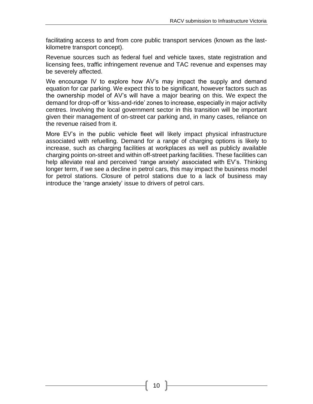facilitating access to and from core public transport services (known as the lastkilometre transport concept).

Revenue sources such as federal fuel and vehicle taxes, state registration and licensing fees, traffic infringement revenue and TAC revenue and expenses may be severely affected.

We encourage IV to explore how AV's may impact the supply and demand equation for car parking. We expect this to be significant, however factors such as the ownership model of AV's will have a major bearing on this. We expect the demand for drop-off or 'kiss-and-ride' zones to increase, especially in major activity centres. Involving the local government sector in this transition will be important given their management of on-street car parking and, in many cases, reliance on the revenue raised from it.

More EV's in the public vehicle fleet will likely impact physical infrastructure associated with refuelling. Demand for a range of charging options is likely to increase, such as charging facilities at workplaces as well as publicly available charging points on-street and within off-street parking facilities. These facilities can help alleviate real and perceived 'range anxiety' associated with EV's. Thinking longer term, if we see a decline in petrol cars, this may impact the business model for petrol stations. Closure of petrol stations due to a lack of business may introduce the 'range anxiety' issue to drivers of petrol cars.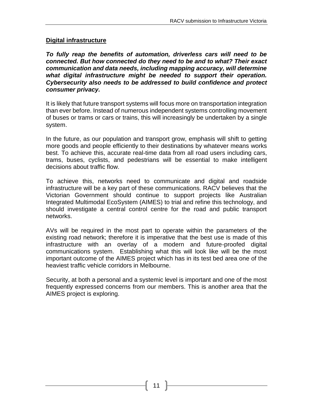#### **Digital infrastructure**

*To fully reap the benefits of automation, driverless cars will need to be connected. But how connected do they need to be and to what? Their exact communication and data needs, including mapping accuracy, will determine what digital infrastructure might be needed to support their operation. Cybersecurity also needs to be addressed to build confidence and protect consumer privacy.*

It is likely that future transport systems will focus more on transportation integration than ever before. Instead of numerous independent systems controlling movement of buses or trams or cars or trains, this will increasingly be undertaken by a single system.

In the future, as our population and transport grow, emphasis will shift to getting more goods and people efficiently to their destinations by whatever means works best. To achieve this, accurate real-time data from all road users including cars, trams, buses, cyclists, and pedestrians will be essential to make intelligent decisions about traffic flow.

To achieve this, networks need to communicate and digital and roadside infrastructure will be a key part of these communications. RACV believes that the Victorian Government should continue to support projects like Australian Integrated Multimodal EcoSystem (AIMES) to trial and refine this technology, and should investigate a central control centre for the road and public transport networks.

AVs will be required in the most part to operate within the parameters of the existing road network; therefore it is imperative that the best use is made of this infrastructure with an overlay of a modern and future-proofed digital communications system. Establishing what this will look like will be the most important outcome of the AIMES project which has in its test bed area one of the heaviest traffic vehicle corridors in Melbourne.

Security, at both a personal and a systemic level is important and one of the most frequently expressed concerns from our members. This is another area that the AIMES project is exploring.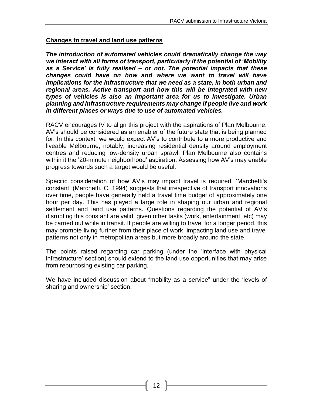#### **Changes to travel and land use patterns**

*The introduction of automated vehicles could dramatically change the way we interact with all forms of transport, particularly if the potential of 'Mobility as a Service' is fully realised – or not. The potential impacts that these changes could have on how and where we want to travel will have implications for the infrastructure that we need as a state, in both urban and regional areas. Active transport and how this will be integrated with new types of vehicles is also an important area for us to investigate. Urban planning and infrastructure requirements may change if people live and work in different places or ways due to use of automated vehicles.*

RACV encourages IV to align this project with the aspirations of Plan Melbourne. AV's should be considered as an enabler of the future state that is being planned for. In this context, we would expect AV's to contribute to a more productive and liveable Melbourne, notably, increasing residential density around employment centres and reducing low-density urban sprawl. Plan Melbourne also contains within it the '20-minute neighborhood' aspiration. Assessing how AV's may enable progress towards such a target would be useful.

Specific consideration of how AV's may impact travel is required. 'Marchetti's constant' (Marchetti, C. 1994) suggests that irrespective of transport innovations over time, people have generally held a travel time budget of approximately one hour per day. This has played a large role in shaping our urban and regional settlement and land use patterns. Questions regarding the potential of AV's disrupting this constant are valid, given other tasks (work, entertainment, etc) may be carried out while in transit. If people are willing to travel for a longer period, this may promote living further from their place of work, impacting land use and travel patterns not only in metropolitan areas but more broadly around the state.

The points raised regarding car parking (under the 'interface with physical infrastructure' section) should extend to the land use opportunities that may arise from repurposing existing car parking.

We have included discussion about "mobility as a service" under the 'levels of sharing and ownership' section.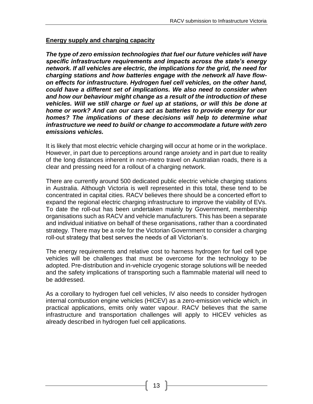#### **Energy supply and charging capacity**

*The type of zero emission technologies that fuel our future vehicles will have specific infrastructure requirements and impacts across the state's energy network. If all vehicles are electric, the implications for the grid, the need for charging stations and how batteries engage with the network all have flowon effects for infrastructure. Hydrogen fuel cell vehicles, on the other hand, could have a different set of implications. We also need to consider when and how our behaviour might change as a result of the introduction of these vehicles. Will we still charge or fuel up at stations, or will this be done at home or work? And can our cars act as batteries to provide energy for our homes? The implications of these decisions will help to determine what infrastructure we need to build or change to accommodate a future with zero emissions vehicles.*

It is likely that most electric vehicle charging will occur at home or in the workplace. However, in part due to perceptions around range anxiety and in part due to reality of the long distances inherent in non-metro travel on Australian roads, there is a clear and pressing need for a rollout of a charging network.

There are currently around 500 dedicated public electric vehicle charging stations in Australia. Although Victoria is well represented in this total, these tend to be concentrated in capital cities. RACV believes there should be a concerted effort to expand the regional electric charging infrastructure to improve the viability of EVs. To date the roll-out has been undertaken mainly by Government, membership organisations such as RACV and vehicle manufacturers. This has been a separate and individual initiative on behalf of these organisations, rather than a coordinated strategy. There may be a role for the Victorian Government to consider a charging roll-out strategy that best serves the needs of all Victorian's.

The energy requirements and relative cost to harness hydrogen for fuel cell type vehicles will be challenges that must be overcome for the technology to be adopted. Pre-distribution and in-vehicle cryogenic storage solutions will be needed and the safety implications of transporting such a flammable material will need to be addressed.

As a corollary to hydrogen fuel cell vehicles, IV also needs to consider hydrogen internal combustion engine vehicles (HICEV) as a zero-emission vehicle which, in practical applications, emits only water vapour. RACV believes that the same infrastructure and transportation challenges will apply to HICEV vehicles as already described in hydrogen fuel cell applications.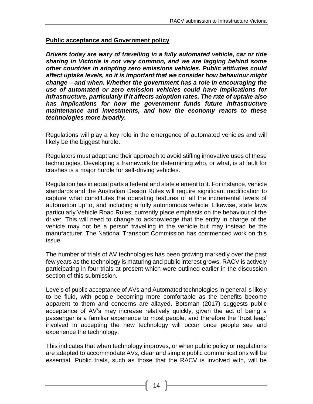#### **Public acceptance and Government policy**

*Drivers today are wary of travelling in a fully automated vehicle, car or ride sharing in Victoria is not very common, and we are lagging behind some other countries in adopting zero emissions vehicles. Public attitudes could affect uptake levels, so it is important that we consider how behaviour might change – and when. Whether the government has a role in encouraging the use of automated or zero emission vehicles could have implications for infrastructure, particularly if it affects adoption rates. The rate of uptake also has implications for how the government funds future infrastructure maintenance and investments, and how the economy reacts to these technologies more broadly.*

Regulations will play a key role in the emergence of automated vehicles and will likely be the biggest hurdle.

Regulators must adapt and their approach to avoid stifling innovative uses of these technologies. Developing a framework for determining who, or what, is at fault for crashes is a major hurdle for self-driving vehicles.

Regulation has in equal parts a federal and state element to it. For instance, vehicle standards and the Australian Design Rules will require significant modification to capture what constitutes the operating features of all the incremental levels of automation up to, and including a fully autonomous vehicle. Likewise, state laws particularly Vehicle Road Rules, currently place emphasis on the behaviour of the driver. This will need to change to acknowledge that the entity in charge of the vehicle may not be a person travelling in the vehicle but may instead be the manufacturer. The National Transport Commission has commenced work on this issue.

The number of trials of AV technologies has been growing markedly over the past few years as the technology is maturing and public interest grows. RACV is actively participating in four trials at present which were outlined earlier in the discussion section of this submission.

Levels of public acceptance of AVs and Automated technologies in general is likely to be fluid, with people becoming more comfortable as the benefits become apparent to them and concerns are allayed. Botsman (2017) suggests public acceptance of AV's may increase relatively quickly, given the act of being a passenger is a familiar experience to most people, and therefore the 'trust leap' involved in accepting the new technology will occur once people see and experience the technology.

This indicates that when technology improves, or when public policy or regulations are adapted to accommodate AVs, clear and simple public communications will be essential. Public trials, such as those that the RACV is involved with, will be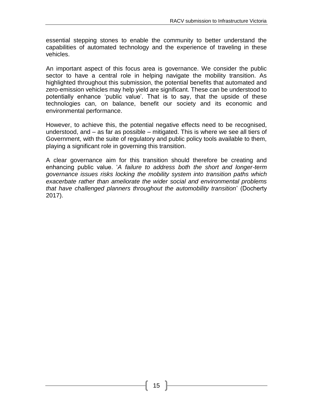essential stepping stones to enable the community to better understand the capabilities of automated technology and the experience of traveling in these vehicles.

An important aspect of this focus area is governance. We consider the public sector to have a central role in helping navigate the mobility transition. As highlighted throughout this submission, the potential benefits that automated and zero-emission vehicles may help yield are significant. These can be understood to potentially enhance 'public value'. That is to say, that the upside of these technologies can, on balance, benefit our society and its economic and environmental performance.

However, to achieve this, the potential negative effects need to be recognised, understood, and – as far as possible – mitigated. This is where we see all tiers of Government, with the suite of regulatory and public policy tools available to them, playing a significant role in governing this transition.

A clear governance aim for this transition should therefore be creating and enhancing public value. '*A failure to address both the short and longer-term governance issues risks locking the mobility system into transition paths which exacerbate rather than ameliorate the wider social and environmental problems that have challenged planners throughout the automobility transition*' (Docherty 2017).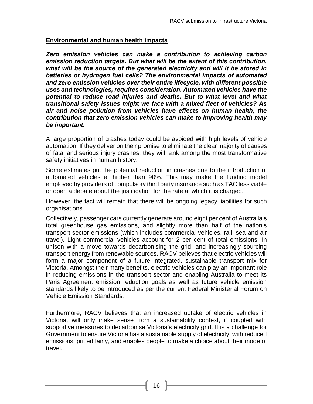#### **Environmental and human health impacts**

*Zero emission vehicles can make a contribution to achieving carbon emission reduction targets. But what will be the extent of this contribution, what will be the source of the generated electricity and will it be stored in batteries or hydrogen fuel cells? The environmental impacts of automated and zero emission vehicles over their entire lifecycle, with different possible uses and technologies, requires consideration. Automated vehicles have the potential to reduce road injuries and deaths. But to what level and what transitional safety issues might we face with a mixed fleet of vehicles? As air and noise pollution from vehicles have effects on human health, the contribution that zero emission vehicles can make to improving health may be important.*

A large proportion of crashes today could be avoided with high levels of vehicle automation. If they deliver on their promise to eliminate the clear majority of causes of fatal and serious injury crashes, they will rank among the most transformative safety initiatives in human history.

Some estimates put the potential reduction in crashes due to the introduction of automated vehicles at higher than 90%. This may make the funding model employed by providers of compulsory third party insurance such as TAC less viable or open a debate about the justification for the rate at which it is charged.

However, the fact will remain that there will be ongoing legacy liabilities for such organisations.

Collectively, passenger cars currently generate around eight per cent of Australia's total greenhouse gas emissions, and slightly more than half of the nation's transport sector emissions (which includes commercial vehicles, rail, sea and air travel). Light commercial vehicles account for 2 per cent of total emissions. In unison with a move towards decarbonising the grid, and increasingly sourcing transport energy from renewable sources, RACV believes that electric vehicles will form a major component of a future integrated, sustainable transport mix for Victoria. Amongst their many benefits, electric vehicles can play an important role in reducing emissions in the transport sector and enabling Australia to meet its Paris Agreement emission reduction goals as well as future vehicle emission standards likely to be introduced as per the current Federal Ministerial Forum on Vehicle Emission Standards.

Furthermore, RACV believes that an increased uptake of electric vehicles in Victoria, will only make sense from a sustainability context, if coupled with supportive measures to decarbonise Victoria's electricity grid. It is a challenge for Government to ensure Victoria has a sustainable supply of electricity, with reduced emissions, priced fairly, and enables people to make a choice about their mode of travel.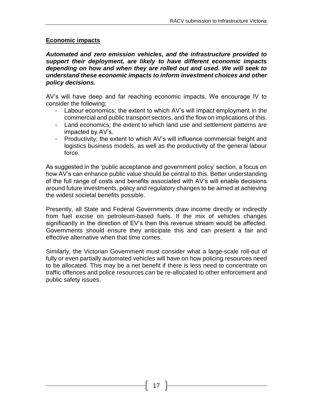#### **Economic impacts**

*Automated and zero emission vehicles, and the infrastructure provided to support their deployment, are likely to have different economic impacts depending on how and when they are rolled out and used. We will seek to understand these economic impacts to inform investment choices and other policy decisions.*

AV's will have deep and far reaching economic impacts. We encourage IV to consider the following;

- Labour economics; the extent to which AV's will impact employment in the commercial and public transport sectors, and the flow on implications of this.
- Land economics; the extent to which land use and settlement patterns are impacted by AV's.
- Productivity; the extent to which AV's will influence commercial freight and logistics business models, as well as the productivity of the general labour force.

As suggested in the 'public acceptance and government policy' section, a focus on how AV's can enhance public value should be central to this. Better understanding of the full range of costs and benefits associated with AV's will enable decisions around future investments, policy and regulatory changes to be aimed at achieving the widest societal benefits possible.

Presently, all State and Federal Governments draw income directly or indirectly from fuel excise on petroleum-based fuels. If the mix of vehicles changes significantly in the direction of EV's then this revenue stream would be affected. Governments should ensure they anticipate this and can present a fair and effective alternative when that time comes.

Similarly, the Victorian Government must consider what a large-scale roll-out of fully or even partially automated vehicles will have on how policing resources need to be allocated. This may be a net benefit if there is less need to concentrate on traffic offences and police resources can be re-allocated to other enforcement and public safety issues.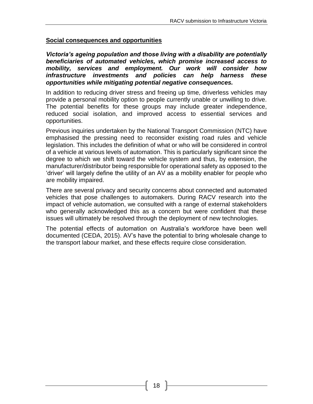#### **Social consequences and opportunities**

*Victoria's ageing population and those living with a disability are potentially beneficiaries of automated vehicles, which promise increased access to mobility, services and employment. Our work will consider how infrastructure investments and policies can help harness these opportunities while mitigating potential negative consequences.*

In addition to reducing driver stress and freeing up time, driverless vehicles may provide a personal mobility option to people currently unable or unwilling to drive. The potential benefits for these groups may include greater independence, reduced social isolation, and improved access to essential services and opportunities.

Previous inquiries undertaken by the National Transport Commission (NTC) have emphasised the pressing need to reconsider existing road rules and vehicle legislation. This includes the definition of what or who will be considered in control of a vehicle at various levels of automation. This is particularly significant since the degree to which we shift toward the vehicle system and thus, by extension, the manufacturer/distributor being responsible for operational safety as opposed to the 'driver' will largely define the utility of an AV as a mobility enabler for people who are mobility impaired.

There are several privacy and security concerns about connected and automated vehicles that pose challenges to automakers. During RACV research into the impact of vehicle automation, we consulted with a range of external stakeholders who generally acknowledged this as a concern but were confident that these issues will ultimately be resolved through the deployment of new technologies.

The potential effects of automation on Australia's workforce have been well documented (CEDA, 2015). AV's have the potential to bring wholesale change to the transport labour market, and these effects require close consideration.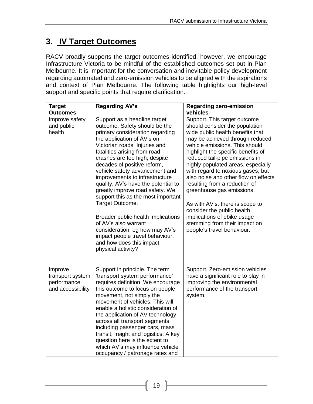# **3. IV Target Outcomes**

RACV broadly supports the target outcomes identified, however, we encourage Infrastructure Victoria to be mindful of the established outcomes set out in Plan Melbourne. It is important for the conversation and inevitable policy development regarding automated and zero-emission vehicles to be aligned with the aspirations and context of Plan Melbourne. The following table highlights our high-level support and specific points that require clarification.

| <b>Target</b>                                                   | <b>Regarding AV's</b>                                                                                                                                                                                                                                                                                                                                                                                                                                                                                                                                                                                                                                       | <b>Regarding zero-emission</b><br>vehicles                                                                                                                                                                                                                                                                                                                                                                                                                                                                                                                                                      |
|-----------------------------------------------------------------|-------------------------------------------------------------------------------------------------------------------------------------------------------------------------------------------------------------------------------------------------------------------------------------------------------------------------------------------------------------------------------------------------------------------------------------------------------------------------------------------------------------------------------------------------------------------------------------------------------------------------------------------------------------|-------------------------------------------------------------------------------------------------------------------------------------------------------------------------------------------------------------------------------------------------------------------------------------------------------------------------------------------------------------------------------------------------------------------------------------------------------------------------------------------------------------------------------------------------------------------------------------------------|
| <b>Outcomes</b><br>Improve safety<br>and public<br>health       | Support as a headline target<br>outcome. Safety should be the<br>primary consideration regarding<br>the application of AV's on<br>Victorian roads. Injuries and<br>fatalities arising from road<br>crashes are too high; despite<br>decades of positive reform,<br>vehicle safety advancement and<br>improvements to infrastructure<br>quality. AV's have the potential to<br>greatly improve road safety. We<br>support this as the most important<br>Target Outcome.<br>Broader public health implications<br>of AV's also warrant<br>consideration. eg how may AV's<br>impact people travel behaviour,<br>and how does this impact<br>physical activity? | Support. This target outcome<br>should consider the population<br>wide public health benefits that<br>may be achieved through reduced<br>vehicle emissions. This should<br>highlight the specific benefits of<br>reduced tail-pipe emissions in<br>highly populated areas, especially<br>with regard to noxious gases, but<br>also noise and other flow on effects<br>resulting from a reduction of<br>greenhouse gas emissions.<br>As with AV's, there is scope to<br>consider the public health<br>implications of ebike usage<br>stemming from their impact on<br>people's travel behaviour. |
| Improve<br>transport system<br>performance<br>and accessibility | Support in principle. The term<br>'transport system performance'<br>requires definition. We encourage<br>this outcome to focus on people<br>movement, not simply the<br>movement of vehicles. This will<br>enable a holistic consideration of<br>the application of AV technology<br>across all transport segments,<br>including passenger cars, mass<br>transit, freight and logistics. A key<br>question here is the extent to<br>which AV's may influence vehicle<br>occupancy / patronage rates and                                                                                                                                                     | Support. Zero-emission vehicles<br>have a significant role to play in<br>improving the environmental<br>performance of the transport<br>system.                                                                                                                                                                                                                                                                                                                                                                                                                                                 |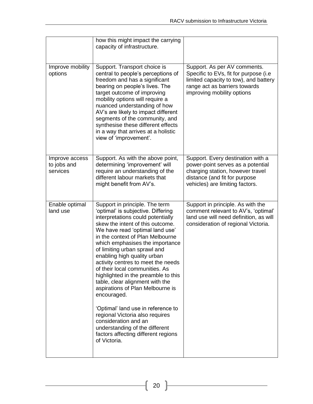|                                           | how this might impact the carrying<br>capacity of infrastructure.                                                                                                                                                                                                                                                                                                                                                                                                                                                                                                                                                                                                                                                     |                                                                                                                                                                                |
|-------------------------------------------|-----------------------------------------------------------------------------------------------------------------------------------------------------------------------------------------------------------------------------------------------------------------------------------------------------------------------------------------------------------------------------------------------------------------------------------------------------------------------------------------------------------------------------------------------------------------------------------------------------------------------------------------------------------------------------------------------------------------------|--------------------------------------------------------------------------------------------------------------------------------------------------------------------------------|
| Improve mobility<br>options               | Support. Transport choice is<br>central to people's perceptions of<br>freedom and has a significant<br>bearing on people's lives. The<br>target outcome of improving<br>mobility options will require a<br>nuanced understanding of how<br>AV's are likely to impact different<br>segments of the community, and<br>synthesise these different effects<br>in a way that arrives at a holistic<br>view of 'improvement'.                                                                                                                                                                                                                                                                                               | Support. As per AV comments.<br>Specific to EVs, fit for purpose (i.e.<br>limited capacity to tow), and battery<br>range act as barriers towards<br>improving mobility options |
| Improve access<br>to jobs and<br>services | Support. As with the above point,<br>determining 'improvement' will<br>require an understanding of the<br>different labour markets that<br>might benefit from AV's.                                                                                                                                                                                                                                                                                                                                                                                                                                                                                                                                                   | Support. Every destination with a<br>power-point serves as a potential<br>charging station, however travel<br>distance (and fit for purpose<br>vehicles) are limiting factors. |
| Enable optimal<br>land use                | Support in principle. The term<br>'optimal' is subjective. Differing<br>interpretations could potentially<br>skew the intent of this outcome.<br>We have read 'optimal land use'<br>in the context of Plan Melbourne<br>which emphasises the importance<br>of limiting urban sprawl and<br>enabling high quality urban<br>activity centres to meet the needs<br>of their local communities. As<br>highlighted in the preamble to this<br>table, clear alignment with the<br>aspirations of Plan Melbourne is<br>encouraged.<br>'Optimal' land use in reference to<br>regional Victoria also requires<br>consideration and an<br>understanding of the different<br>factors affecting different regions<br>of Victoria. | Support in principle. As with the<br>comment relevant to AV's, 'optimal'<br>land use will need definition, as will<br>consideration of regional Victoria.                      |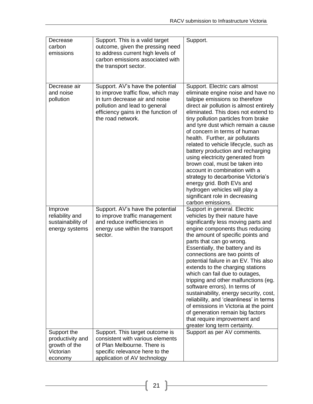| Decrease<br>carbon<br>emissions                                   | Support. This is a valid target<br>outcome, given the pressing need<br>to address current high levels of<br>carbon emissions associated with<br>the transport sector.                                 | Support.                                                                                                                                                                                                                                                                                                                                                                                                                                                                                                                                                                                                                                                                                                |
|-------------------------------------------------------------------|-------------------------------------------------------------------------------------------------------------------------------------------------------------------------------------------------------|---------------------------------------------------------------------------------------------------------------------------------------------------------------------------------------------------------------------------------------------------------------------------------------------------------------------------------------------------------------------------------------------------------------------------------------------------------------------------------------------------------------------------------------------------------------------------------------------------------------------------------------------------------------------------------------------------------|
| Decrease air<br>and noise<br>pollution                            | Support. AV's have the potential<br>to improve traffic flow, which may<br>in turn decrease air and noise<br>pollution and lead to general<br>efficiency gains in the function of<br>the road network. | Support. Electric cars almost<br>eliminate engine noise and have no<br>tailpipe emissions so therefore<br>direct air pollution is almost entirely<br>eliminated. This does not extend to<br>tiny pollution particles from brake<br>and tyre dust which remain a cause<br>of concern in terms of human<br>health. Further, air pollutants<br>related to vehicle lifecycle, such as<br>battery production and recharging<br>using electricity generated from<br>brown coal, must be taken into<br>account in combination with a<br>strategy to decarbonise Victoria's<br>energy grid. Both EVs and<br>hydrogen vehicles will play a<br>significant role in decreasing<br>carbon emissions.                |
| Improve<br>reliability and<br>sustainability of<br>energy systems | Support. AV's have the potential<br>to improve traffic management<br>and reduce inefficiencies in<br>energy use within the transport<br>sector.                                                       | Support in general. Electric<br>vehicles by their nature have<br>significantly less moving parts and<br>engine components thus reducing<br>the amount of specific points and<br>parts that can go wrong.<br>Essentially, the battery and its<br>connections are two points of<br>potential failure in an EV. This also<br>extends to the charging stations<br>which can fail due to outages,<br>tripping and other malfunctions (eg.<br>software errors). In terms of<br>sustainability, energy security, cost,<br>reliability, and 'cleanliness' in terms<br>of emissions in Victoria at the point<br>of generation remain big factors<br>that require improvement and<br>greater long term certainty. |
| Support the<br>productivity and<br>growth of the                  | Support. This target outcome is<br>consistent with various elements<br>of Plan Melbourne. There is                                                                                                    | Support as per AV comments.                                                                                                                                                                                                                                                                                                                                                                                                                                                                                                                                                                                                                                                                             |
| Victorian<br>economy                                              | specific relevance here to the<br>application of AV technology                                                                                                                                        |                                                                                                                                                                                                                                                                                                                                                                                                                                                                                                                                                                                                                                                                                                         |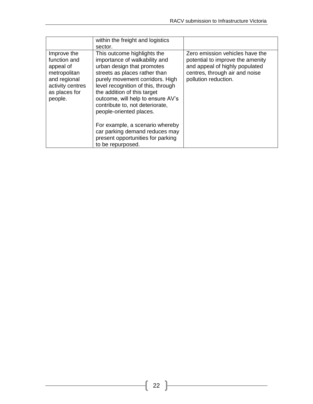|                                                                                                                          | within the freight and logistics<br>sector.                                                                                                                                                                                                                                                                                            |                                                                                                                                                                 |
|--------------------------------------------------------------------------------------------------------------------------|----------------------------------------------------------------------------------------------------------------------------------------------------------------------------------------------------------------------------------------------------------------------------------------------------------------------------------------|-----------------------------------------------------------------------------------------------------------------------------------------------------------------|
| Improve the<br>function and<br>appeal of<br>metropolitan<br>and regional<br>activity centres<br>as places for<br>people. | This outcome highlights the<br>importance of walkability and<br>urban design that promotes<br>streets as places rather than<br>purely movement corridors. High<br>level recognition of this, through<br>the addition of this target<br>outcome, will help to ensure AV's<br>contribute to, not deteriorate,<br>people-oriented places. | Zero emission vehicles have the<br>potential to improve the amenity<br>and appeal of highly populated<br>centres, through air and noise<br>pollution reduction. |
|                                                                                                                          | For example, a scenario whereby<br>car parking demand reduces may<br>present opportunities for parking<br>to be repurposed.                                                                                                                                                                                                            |                                                                                                                                                                 |